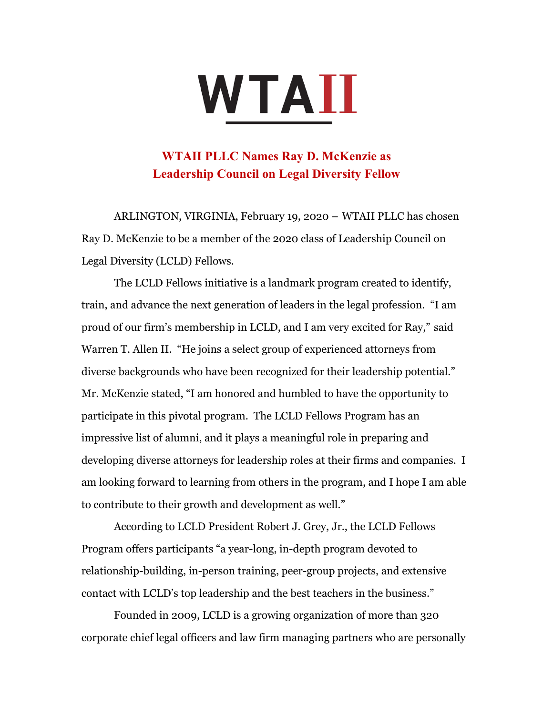## WTAII

## **WTAII PLLC Names Ray D. McKenzie as Leadership Council on Legal Diversity Fellow**

ARLINGTON, VIRGINIA, February 19, 2020 – WTAII PLLC has chosen Ray D. McKenzie to be a member of the 2020 class of Leadership Council on Legal Diversity (LCLD) Fellows.

The LCLD Fellows initiative is a landmark program created to identify, train, and advance the next generation of leaders in the legal profession. "I am proud of our firm's membership in LCLD, and I am very excited for Ray," said Warren T. Allen II. "He joins a select group of experienced attorneys from diverse backgrounds who have been recognized for their leadership potential." Mr. McKenzie stated, "I am honored and humbled to have the opportunity to participate in this pivotal program. The LCLD Fellows Program has an impressive list of alumni, and it plays a meaningful role in preparing and developing diverse attorneys for leadership roles at their firms and companies. I am looking forward to learning from others in the program, and I hope I am able to contribute to their growth and development as well."

According to LCLD President Robert J. Grey, Jr., the LCLD Fellows Program offers participants "a year-long, in-depth program devoted to relationship-building, in-person training, peer-group projects, and extensive contact with LCLD's top leadership and the best teachers in the business."

Founded in 2009, LCLD is a growing organization of more than 320 corporate chief legal officers and law firm managing partners who are personally